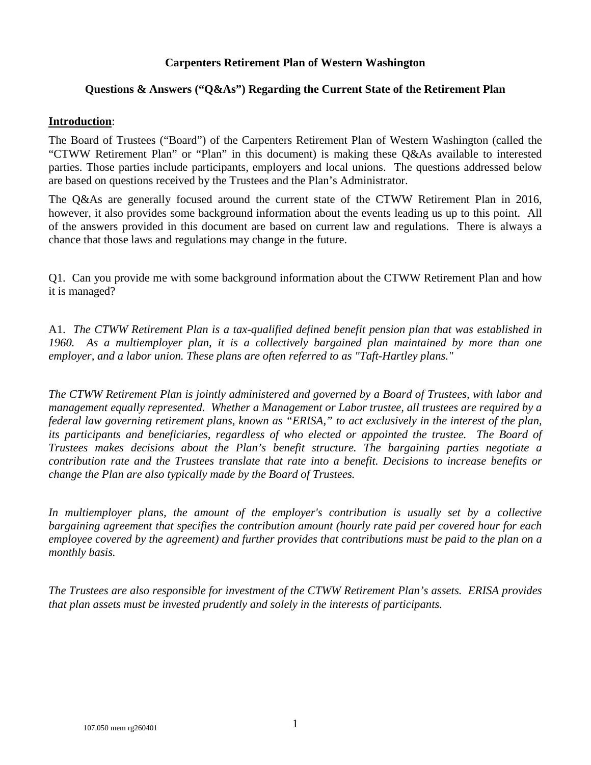### **Carpenters Retirement Plan of Western Washington**

## **Questions & Answers ("Q&As") Regarding the Current State of the Retirement Plan**

### **Introduction**:

The Board of Trustees ("Board") of the Carpenters Retirement Plan of Western Washington (called the "CTWW Retirement Plan" or "Plan" in this document) is making these Q&As available to interested parties. Those parties include participants, employers and local unions. The questions addressed below are based on questions received by the Trustees and the Plan's Administrator.

The Q&As are generally focused around the current state of the CTWW Retirement Plan in 2016, however, it also provides some background information about the events leading us up to this point. All of the answers provided in this document are based on current law and regulations. There is always a chance that those laws and regulations may change in the future.

Q1. Can you provide me with some background information about the CTWW Retirement Plan and how it is managed?

A1. *The CTWW Retirement Plan is a tax-qualified defined benefit pension plan that was established in 1960. As a multiemployer plan, it is a collectively bargained plan maintained by more than one employer, and a labor union. These plans are often referred to as "Taft-Hartley plans."*

*The CTWW Retirement Plan is jointly administered and governed by a Board of Trustees, with labor and management equally represented. Whether a Management or Labor trustee, all trustees are required by a federal law governing retirement plans, known as "ERISA," to act exclusively in the interest of the plan, its participants and beneficiaries, regardless of who elected or appointed the trustee. The Board of Trustees makes decisions about the Plan's benefit structure. The bargaining parties negotiate a contribution rate and the Trustees translate that rate into a benefit. Decisions to increase benefits or change the Plan are also typically made by the Board of Trustees.*

*In multiemployer plans, the amount of the employer's contribution is usually set by a collective bargaining agreement that specifies the contribution amount (hourly rate paid per covered hour for each employee covered by the agreement) and further provides that contributions must be paid to the plan on a monthly basis.*

*The Trustees are also responsible for investment of the CTWW Retirement Plan's assets. ERISA provides that plan assets must be invested prudently and solely in the interests of participants.*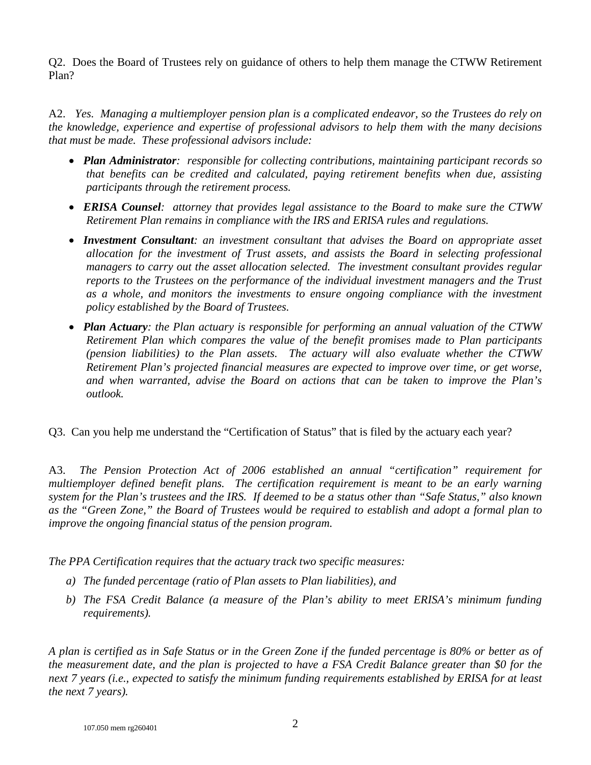Q2. Does the Board of Trustees rely on guidance of others to help them manage the CTWW Retirement Plan?

A2. *Yes. Managing a multiemployer pension plan is a complicated endeavor, so the Trustees do rely on the knowledge, experience and expertise of professional advisors to help them with the many decisions that must be made. These professional advisors include:*

- *Plan Administrator: responsible for collecting contributions, maintaining participant records so that benefits can be credited and calculated, paying retirement benefits when due, assisting participants through the retirement process.*
- *ERISA Counsel: attorney that provides legal assistance to the Board to make sure the CTWW Retirement Plan remains in compliance with the IRS and ERISA rules and regulations.*
- *Investment Consultant: an investment consultant that advises the Board on appropriate asset allocation for the investment of Trust assets, and assists the Board in selecting professional managers to carry out the asset allocation selected. The investment consultant provides regular reports to the Trustees on the performance of the individual investment managers and the Trust as a whole, and monitors the investments to ensure ongoing compliance with the investment policy established by the Board of Trustees.*
- *Plan Actuary: the Plan actuary is responsible for performing an annual valuation of the CTWW Retirement Plan which compares the value of the benefit promises made to Plan participants (pension liabilities) to the Plan assets. The actuary will also evaluate whether the CTWW Retirement Plan's projected financial measures are expected to improve over time, or get worse, and when warranted, advise the Board on actions that can be taken to improve the Plan's outlook.*

Q3. Can you help me understand the "Certification of Status" that is filed by the actuary each year?

A3. *The Pension Protection Act of 2006 established an annual "certification" requirement for multiemployer defined benefit plans. The certification requirement is meant to be an early warning system for the Plan's trustees and the IRS. If deemed to be a status other than "Safe Status," also known as the "Green Zone," the Board of Trustees would be required to establish and adopt a formal plan to improve the ongoing financial status of the pension program.*

*The PPA Certification requires that the actuary track two specific measures:*

- *a) The funded percentage (ratio of Plan assets to Plan liabilities), and*
- *b) The FSA Credit Balance (a measure of the Plan's ability to meet ERISA's minimum funding requirements).*

*A plan is certified as in Safe Status or in the Green Zone if the funded percentage is 80% or better as of the measurement date, and the plan is projected to have a FSA Credit Balance greater than \$0 for the next 7 years (i.e., expected to satisfy the minimum funding requirements established by ERISA for at least the next 7 years).*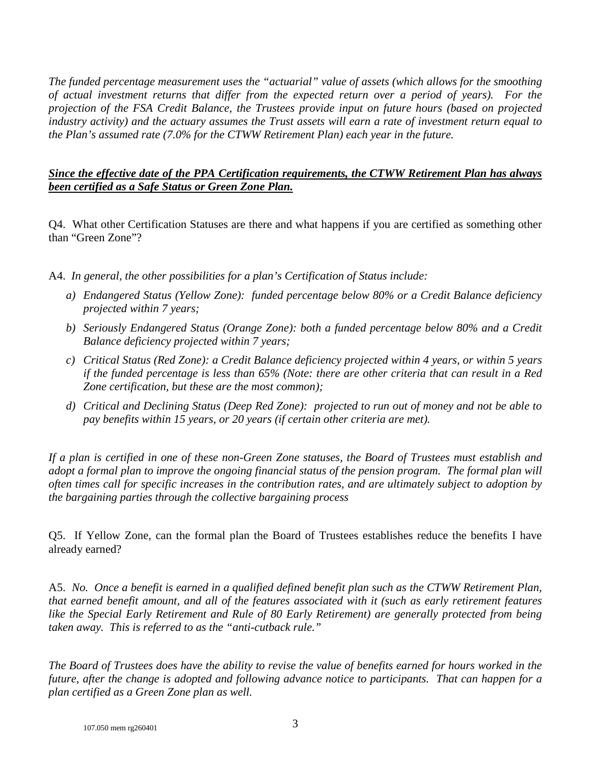*The funded percentage measurement uses the "actuarial" value of assets (which allows for the smoothing of actual investment returns that differ from the expected return over a period of years). For the projection of the FSA Credit Balance, the Trustees provide input on future hours (based on projected industry activity) and the actuary assumes the Trust assets will earn a rate of investment return equal to the Plan's assumed rate (7.0% for the CTWW Retirement Plan) each year in the future.* 

# *Since the effective date of the PPA Certification requirements, the CTWW Retirement Plan has always been certified as a Safe Status or Green Zone Plan.*

Q4. What other Certification Statuses are there and what happens if you are certified as something other than "Green Zone"?

- A4. *In general, the other possibilities for a plan's Certification of Status include:*
	- *a) Endangered Status (Yellow Zone): funded percentage below 80% or a Credit Balance deficiency projected within 7 years;*
	- *b) Seriously Endangered Status (Orange Zone): both a funded percentage below 80% and a Credit Balance deficiency projected within 7 years;*
	- *c) Critical Status (Red Zone): a Credit Balance deficiency projected within 4 years, or within 5 years if the funded percentage is less than 65% (Note: there are other criteria that can result in a Red Zone certification, but these are the most common);*
	- *d) Critical and Declining Status (Deep Red Zone): projected to run out of money and not be able to pay benefits within 15 years, or 20 years (if certain other criteria are met).*

*If a plan is certified in one of these non-Green Zone statuses, the Board of Trustees must establish and adopt a formal plan to improve the ongoing financial status of the pension program. The formal plan will often times call for specific increases in the contribution rates, and are ultimately subject to adoption by the bargaining parties through the collective bargaining process*

Q5. If Yellow Zone, can the formal plan the Board of Trustees establishes reduce the benefits I have already earned?

A5. *No. Once a benefit is earned in a qualified defined benefit plan such as the CTWW Retirement Plan, that earned benefit amount, and all of the features associated with it (such as early retirement features like the Special Early Retirement and Rule of 80 Early Retirement) are generally protected from being taken away. This is referred to as the "anti-cutback rule."*

*The Board of Trustees does have the ability to revise the value of benefits earned for hours worked in the future, after the change is adopted and following advance notice to participants. That can happen for a plan certified as a Green Zone plan as well.*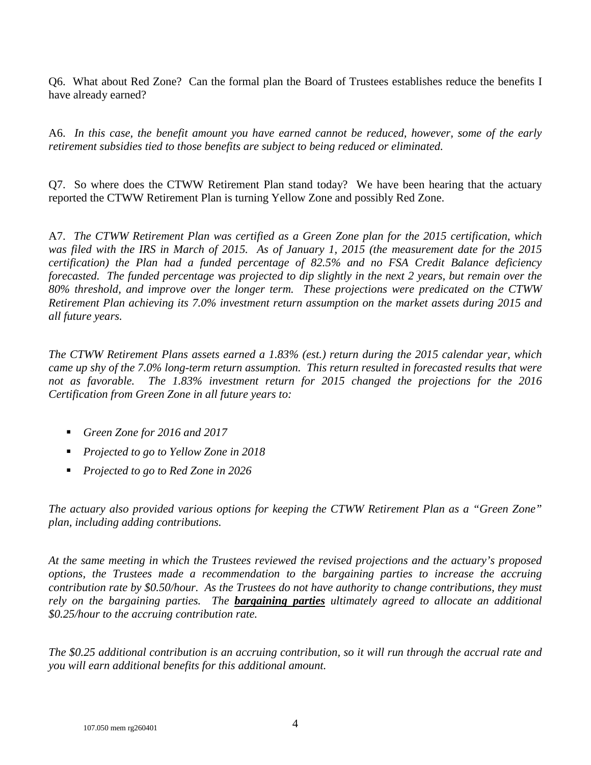Q6. What about Red Zone? Can the formal plan the Board of Trustees establishes reduce the benefits I have already earned?

A6. *In this case, the benefit amount you have earned cannot be reduced, however, some of the early retirement subsidies tied to those benefits are subject to being reduced or eliminated.*

Q7. So where does the CTWW Retirement Plan stand today? We have been hearing that the actuary reported the CTWW Retirement Plan is turning Yellow Zone and possibly Red Zone.

A7. *The CTWW Retirement Plan was certified as a Green Zone plan for the 2015 certification, which was filed with the IRS in March of 2015. As of January 1, 2015 (the measurement date for the 2015 certification) the Plan had a funded percentage of 82.5% and no FSA Credit Balance deficiency forecasted. The funded percentage was projected to dip slightly in the next 2 years, but remain over the 80% threshold, and improve over the longer term. These projections were predicated on the CTWW Retirement Plan achieving its 7.0% investment return assumption on the market assets during 2015 and all future years.*

*The CTWW Retirement Plans assets earned a 1.83% (est.) return during the 2015 calendar year, which came up shy of the 7.0% long-term return assumption. This return resulted in forecasted results that were*  not as favorable. The 1.83% investment return for 2015 changed the projections for the 2016 *Certification from Green Zone in all future years to:*

- *Green Zone for 2016 and 2017*
- *Projected to go to Yellow Zone in 2018*
- *Projected to go to Red Zone in 2026*

*The actuary also provided various options for keeping the CTWW Retirement Plan as a "Green Zone" plan, including adding contributions.* 

*At the same meeting in which the Trustees reviewed the revised projections and the actuary's proposed options, the Trustees made a recommendation to the bargaining parties to increase the accruing contribution rate by \$0.50/hour. As the Trustees do not have authority to change contributions, they must rely on the bargaining parties. The bargaining parties ultimately agreed to allocate an additional \$0.25/hour to the accruing contribution rate.* 

*The \$0.25 additional contribution is an accruing contribution, so it will run through the accrual rate and you will earn additional benefits for this additional amount.*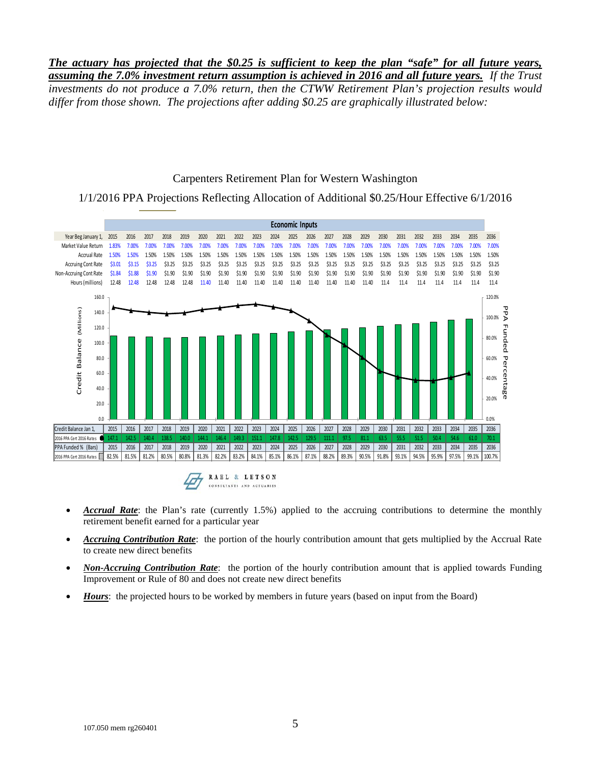*The actuary has projected that the \$0.25 is sufficient to keep the plan "safe" for all future years, assuming the 7.0% investment return assumption is achieved in 2016 and all future years. If the Trust investments do not produce a 7.0% return, then the CTWW Retirement Plan's projection results would differ from those shown. The projections after adding \$0.25 are graphically illustrated below:*

#### Carpenters Retirement Plan for Western Washington

1/1/2016 PPA Projections Reflecting Allocation of Additional \$0.25/Hour Effective 6/1/2016



- *Accrual Rate*: the Plan's rate (currently 1.5%) applied to the accruing contributions to determine the monthly retirement benefit earned for a particular year
- *Accruing Contribution Rate*: the portion of the hourly contribution amount that gets multiplied by the Accrual Rate to create new direct benefits
- *Non-Accruing Contribution Rate*: the portion of the hourly contribution amount that is applied towards Funding Improvement or Rule of 80 and does not create new direct benefits
- *Hours*: the projected hours to be worked by members in future years (based on input from the Board)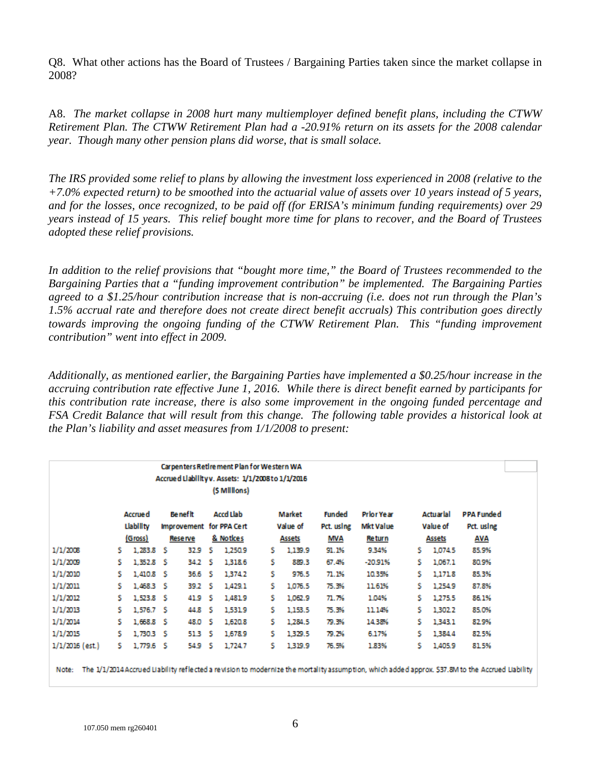Q8. What other actions has the Board of Trustees / Bargaining Parties taken since the market collapse in 2008?

A8. *The market collapse in 2008 hurt many multiemployer defined benefit plans, including the CTWW Retirement Plan. The CTWW Retirement Plan had a -20.91% return on its assets for the 2008 calendar year. Though many other pension plans did worse, that is small solace.*

*The IRS provided some relief to plans by allowing the investment loss experienced in 2008 (relative to the +7.0% expected return) to be smoothed into the actuarial value of assets over 10 years instead of 5 years, and for the losses, once recognized, to be paid off (for ERISA's minimum funding requirements) over 29 years instead of 15 years. This relief bought more time for plans to recover, and the Board of Trustees adopted these relief provisions.*

*In addition to the relief provisions that "bought more time," the Board of Trustees recommended to the Bargaining Parties that a "funding improvement contribution" be implemented. The Bargaining Parties agreed to a \$1.25/hour contribution increase that is non-accruing (i.e. does not run through the Plan's 1.5% accrual rate and therefore does not create direct benefit accruals) This contribution goes directly towards improving the ongoing funding of the CTWW Retirement Plan. This "funding improvement contribution" went into effect in 2009.*

*Additionally, as mentioned earlier, the Bargaining Parties have implemented a \$0.25/hour increase in the accruing contribution rate effective June 1, 2016. While there is direct benefit earned by participants for this contribution rate increase, there is also some improvement in the ongoing funded percentage and FSA Credit Balance that will result from this change. The following table provides a historical look at the Plan's liability and asset measures from 1/1/2008 to present:*

|                 | Carpenters Retire ment Plan for Western WA<br>Accrued Llability v. Assets: 1/1/2008 to 1/1/2016 |                |                                              |        |                  |               |                    |         |                             |                                |                       |         |                                 |
|-----------------|-------------------------------------------------------------------------------------------------|----------------|----------------------------------------------|--------|------------------|---------------|--------------------|---------|-----------------------------|--------------------------------|-----------------------|---------|---------------------------------|
|                 |                                                                                                 |                |                                              |        |                  | (\$ Millions) |                    |         |                             |                                |                       |         |                                 |
|                 |                                                                                                 | <b>Accrued</b> | <b>Be nef lt</b><br>Improvement for PPA Cert |        | <b>Accd Llab</b> |               | Market<br>Value of |         | <b>Funded</b><br>Pct. using | <b>Prior Year</b><br>Mkt Value | Actuarial<br>Value of |         | <b>PPA Funded</b><br>Pct. using |
|                 |                                                                                                 | Llability      |                                              |        |                  |               |                    |         |                             |                                |                       |         |                                 |
|                 | (Gross)                                                                                         |                | Reserve                                      |        | & Notices        |               | Assets             |         | MVA                         | <b>Return</b>                  | Assets                |         | AVA                             |
| 1/1/2008        | s.                                                                                              | 1,283.8        | - 5                                          | 32.9   | s                | 1,250.9       | s.                 | 1,139.9 | 91.1%                       | 9.34%                          | s                     | 1,074.5 | 85.9%                           |
| 1/1/2009        | s.                                                                                              | 1,352.8        | -S                                           | 34.2   | -S               | 1,318.6       | s                  | 889.3   | 67.4%                       | $-20.91%$                      | s.                    | 1,067.1 | 80.9%                           |
| 1/1/2010        | s.                                                                                              | 1,410.8        | - 5                                          | 36.6 S |                  | 1,374.2       | s.                 | 976.5   | 71.1%                       | 10.35%                         | s                     | 1,171.8 | 85.3%                           |
| 1/1/2011        | s.                                                                                              | 1,468.3        | - S                                          | 39.2 S |                  | 1,429.1       | s.                 | 1,076.5 | 75.3%                       | 11.61%                         | s.                    | 1,254.9 | 87.8%                           |
| 1/1/2012        | s.                                                                                              | 1,523.8 \$     |                                              | 41.9   | - 5              | 1,481.9       | s.                 | 1,062.9 | 71.7%                       | 1.04%                          | s.                    | 1,275.5 | 86.1%                           |
| 1/1/2013        | s.                                                                                              | 1,576.7        | - S                                          | 44.8   | -S               | 1,531.9       | s.                 | 1,153.5 | 75.3%                       | 11.14%                         | s                     | 1,302.2 | 85.0%                           |
| 1/1/2014        | s.                                                                                              | 1,668.8        | - S                                          | 48.0   | - \$             | 1,620.8       | s.                 | 1,284.5 | 79.3%                       | 14.38%                         | s                     | 1,343.1 | 82.9%                           |
| 1/1/2015        | Ŝ.                                                                                              | 1.730.3 S      |                                              | 51.3 S |                  | 1,678.9       | s.                 | 1,329.5 | 79.2%                       | 6.17%                          | s.                    | 1,384.4 | 82.5%                           |
| 1/1/2016 (est.) | s.                                                                                              | 1,779.6 \$     |                                              | 54.9 S |                  | 1,724.7       | s.                 | 1,319.9 | 76.5%                       | 1.83%                          | s.                    | 1,405.9 | 81.5%                           |